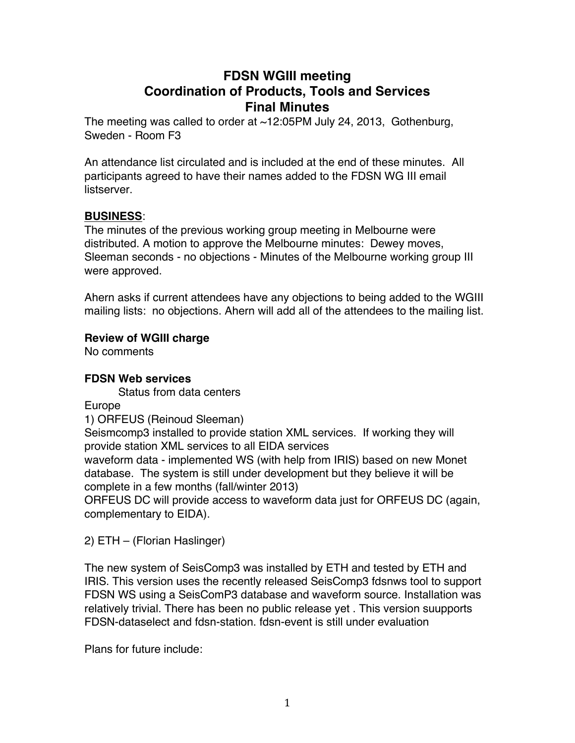# **FDSN WGIII meeting Coordination of Products, Tools and Services Final Minutes**

The meeting was called to order at  $~12.05$ PM July 24, 2013, Gothenburg, Sweden - Room F3

An attendance list circulated and is included at the end of these minutes. All participants agreed to have their names added to the FDSN WG III email listserver.

### **BUSINESS**:

The minutes of the previous working group meeting in Melbourne were distributed. A motion to approve the Melbourne minutes: Dewey moves, Sleeman seconds - no objections - Minutes of the Melbourne working group III were approved.

Ahern asks if current attendees have any objections to being added to the WGIII mailing lists: no objections. Ahern will add all of the attendees to the mailing list.

### **Review of WGIII charge**

No comments

## **FDSN Web services**

Status from data centers

Europe

1) ORFEUS (Reinoud Sleeman)

Seismcomp3 installed to provide station XML services. If working they will provide station XML services to all EIDA services

waveform data - implemented WS (with help from IRIS) based on new Monet database. The system is still under development but they believe it will be complete in a few months (fall/winter 2013)

ORFEUS DC will provide access to waveform data just for ORFEUS DC (again, complementary to EIDA).

2) ETH – (Florian Haslinger)

The new system of SeisComp3 was installed by ETH and tested by ETH and IRIS. This version uses the recently released SeisComp3 fdsnws tool to support FDSN WS using a SeisComP3 database and waveform source. Installation was relatively trivial. There has been no public release yet . This version suupports FDSN-dataselect and fdsn-station. fdsn-event is still under evaluation

Plans for future include: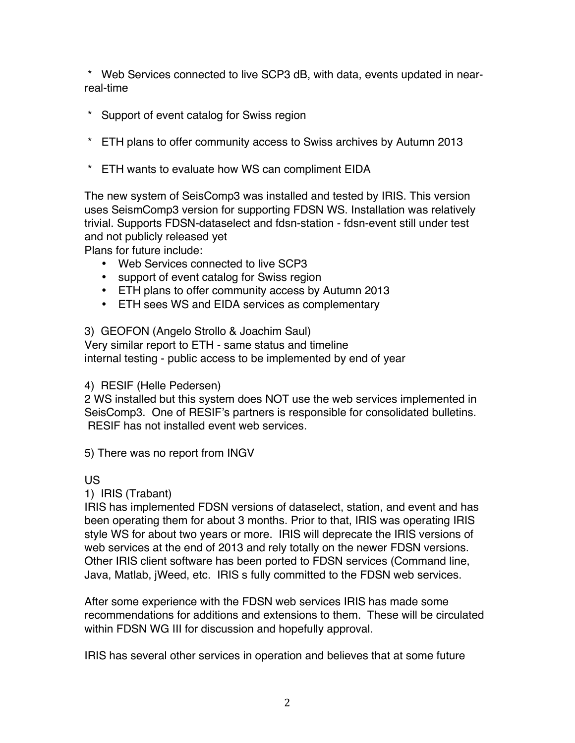\* Web Services connected to live SCP3 dB, with data, events updated in nearreal-time

- \* Support of event catalog for Swiss region
- \* ETH plans to offer community access to Swiss archives by Autumn 2013
- \* ETH wants to evaluate how WS can compliment EIDA

The new system of SeisComp3 was installed and tested by IRIS. This version uses SeismComp3 version for supporting FDSN WS. Installation was relatively trivial. Supports FDSN-dataselect and fdsn-station - fdsn-event still under test and not publicly released yet

Plans for future include:

- Web Services connected to live SCP3
- support of event catalog for Swiss region
- ETH plans to offer community access by Autumn 2013
- ETH sees WS and EIDA services as complementary

3) GEOFON (Angelo Strollo & Joachim Saul) Very similar report to ETH - same status and timeline

internal testing - public access to be implemented by end of year

4) RESIF (Helle Pedersen)

2 WS installed but this system does NOT use the web services implemented in SeisComp3. One of RESIF's partners is responsible for consolidated bulletins. RESIF has not installed event web services.

5) There was no report from INGV

### US

### 1) IRIS (Trabant)

IRIS has implemented FDSN versions of dataselect, station, and event and has been operating them for about 3 months. Prior to that, IRIS was operating IRIS style WS for about two years or more. IRIS will deprecate the IRIS versions of web services at the end of 2013 and rely totally on the newer FDSN versions. Other IRIS client software has been ported to FDSN services (Command line, Java, Matlab, jWeed, etc. IRIS s fully committed to the FDSN web services.

After some experience with the FDSN web services IRIS has made some recommendations for additions and extensions to them. These will be circulated within FDSN WG III for discussion and hopefully approval.

IRIS has several other services in operation and believes that at some future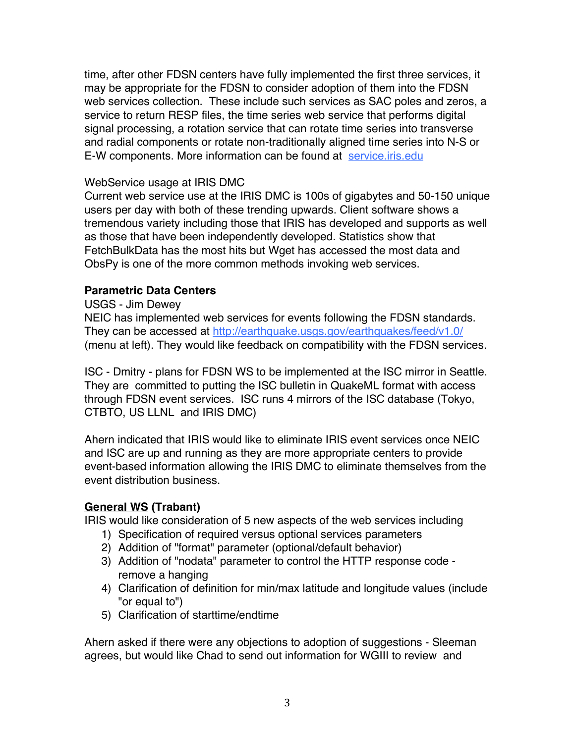time, after other FDSN centers have fully implemented the first three services, it may be appropriate for the FDSN to consider adoption of them into the FDSN web services collection. These include such services as SAC poles and zeros, a service to return RESP files, the time series web service that performs digital signal processing, a rotation service that can rotate time series into transverse and radial components or rotate non-traditionally aligned time series into N-S or E-W components. More information can be found at service.iris.edu

#### WebService usage at IRIS DMC

Current web service use at the IRIS DMC is 100s of gigabytes and 50-150 unique users per day with both of these trending upwards. Client software shows a tremendous variety including those that IRIS has developed and supports as well as those that have been independently developed. Statistics show that FetchBulkData has the most hits but Wget has accessed the most data and ObsPy is one of the more common methods invoking web services.

### **Parametric Data Centers**

#### USGS - Jim Dewey

NEIC has implemented web services for events following the FDSN standards. They can be accessed at http://earthquake.usgs.gov/earthquakes/feed/v1.0/ (menu at left). They would like feedback on compatibility with the FDSN services.

ISC - Dmitry - plans for FDSN WS to be implemented at the ISC mirror in Seattle. They are committed to putting the ISC bulletin in QuakeML format with access through FDSN event services. ISC runs 4 mirrors of the ISC database (Tokyo, CTBTO, US LLNL and IRIS DMC)

Ahern indicated that IRIS would like to eliminate IRIS event services once NEIC and ISC are up and running as they are more appropriate centers to provide event-based information allowing the IRIS DMC to eliminate themselves from the event distribution business.

### **General WS (Trabant)**

IRIS would like consideration of 5 new aspects of the web services including

- 1) Specification of required versus optional services parameters
- 2) Addition of "format" parameter (optional/default behavior)
- 3) Addition of "nodata" parameter to control the HTTP response code remove a hanging
- 4) Clarification of definition for min/max latitude and longitude values (include "or equal to")
- 5) Clarification of starttime/endtime

Ahern asked if there were any objections to adoption of suggestions - Sleeman agrees, but would like Chad to send out information for WGIII to review and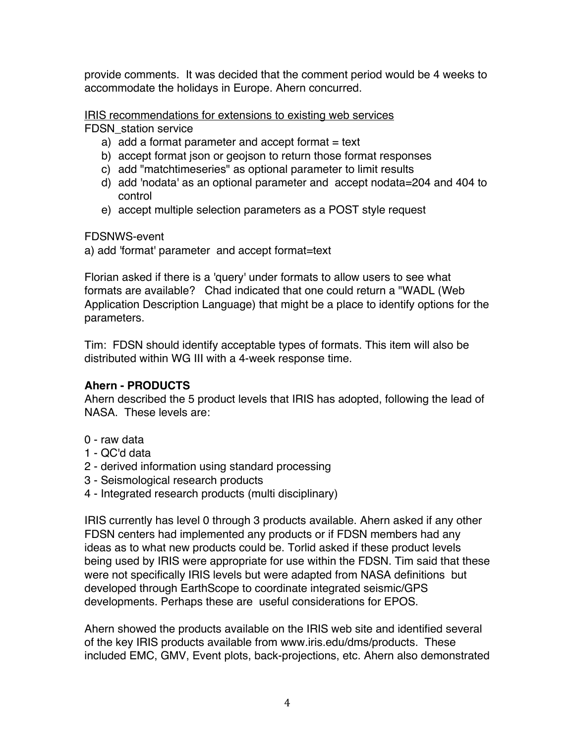provide comments. It was decided that the comment period would be 4 weeks to accommodate the holidays in Europe. Ahern concurred.

IRIS recommendations for extensions to existing web services FDSN\_station service

- a) add a format parameter and accept format  $=$  text
- b) accept format json or geojson to return those format responses
- c) add "matchtimeseries" as optional parameter to limit results
- d) add 'nodata' as an optional parameter and accept nodata=204 and 404 to control
- e) accept multiple selection parameters as a POST style request

FDSNWS-event

a) add 'format' parameter and accept format=text

Florian asked if there is a 'query' under formats to allow users to see what formats are available? Chad indicated that one could return a "WADL (Web Application Description Language) that might be a place to identify options for the parameters.

Tim: FDSN should identify acceptable types of formats. This item will also be distributed within WG III with a 4-week response time.

### **Ahern - PRODUCTS**

Ahern described the 5 product levels that IRIS has adopted, following the lead of NASA. These levels are:

- 0 raw data
- 1 QC'd data
- 2 derived information using standard processing
- 3 Seismological research products
- 4 Integrated research products (multi disciplinary)

IRIS currently has level 0 through 3 products available. Ahern asked if any other FDSN centers had implemented any products or if FDSN members had any ideas as to what new products could be. Torlid asked if these product levels being used by IRIS were appropriate for use within the FDSN. Tim said that these were not specifically IRIS levels but were adapted from NASA definitions but developed through EarthScope to coordinate integrated seismic/GPS developments. Perhaps these are useful considerations for EPOS.

Ahern showed the products available on the IRIS web site and identified several of the key IRIS products available from www.iris.edu/dms/products. These included EMC, GMV, Event plots, back-projections, etc. Ahern also demonstrated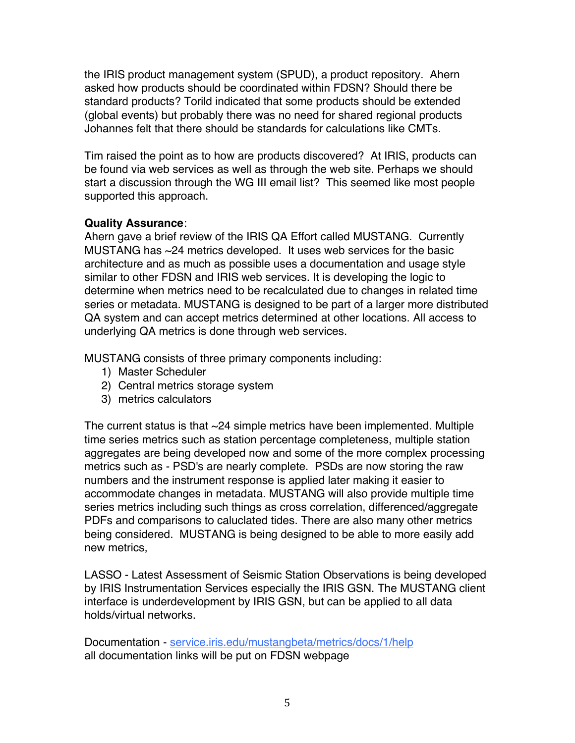the IRIS product management system (SPUD), a product repository. Ahern asked how products should be coordinated within FDSN? Should there be standard products? Torild indicated that some products should be extended (global events) but probably there was no need for shared regional products Johannes felt that there should be standards for calculations like CMTs.

Tim raised the point as to how are products discovered? At IRIS, products can be found via web services as well as through the web site. Perhaps we should start a discussion through the WG III email list? This seemed like most people supported this approach.

### **Quality Assurance**:

Ahern gave a brief review of the IRIS QA Effort called MUSTANG. Currently MUSTANG has ~24 metrics developed. It uses web services for the basic architecture and as much as possible uses a documentation and usage style similar to other FDSN and IRIS web services. It is developing the logic to determine when metrics need to be recalculated due to changes in related time series or metadata. MUSTANG is designed to be part of a larger more distributed QA system and can accept metrics determined at other locations. All access to underlying QA metrics is done through web services.

MUSTANG consists of three primary components including:

- 1) Master Scheduler
- 2) Central metrics storage system
- 3) metrics calculators

The current status is that  $\sim$  24 simple metrics have been implemented. Multiple time series metrics such as station percentage completeness, multiple station aggregates are being developed now and some of the more complex processing metrics such as - PSD's are nearly complete. PSDs are now storing the raw numbers and the instrument response is applied later making it easier to accommodate changes in metadata. MUSTANG will also provide multiple time series metrics including such things as cross correlation, differenced/aggregate PDFs and comparisons to caluclated tides. There are also many other metrics being considered. MUSTANG is being designed to be able to more easily add new metrics,

LASSO - Latest Assessment of Seismic Station Observations is being developed by IRIS Instrumentation Services especially the IRIS GSN. The MUSTANG client interface is underdevelopment by IRIS GSN, but can be applied to all data holds/virtual networks.

Documentation - service.iris.edu/mustangbeta/metrics/docs/1/help all documentation links will be put on FDSN webpage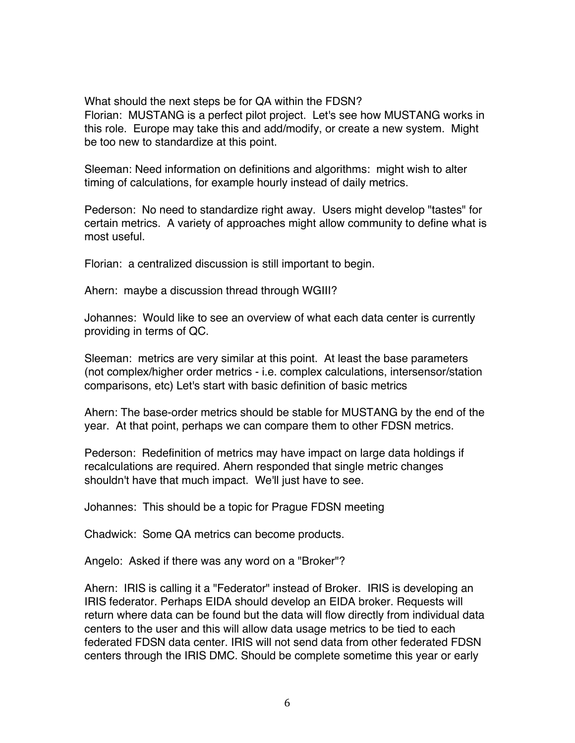What should the next steps be for QA within the FDSN? Florian: MUSTANG is a perfect pilot project. Let's see how MUSTANG works in this role. Europe may take this and add/modify, or create a new system. Might be too new to standardize at this point.

Sleeman: Need information on definitions and algorithms: might wish to alter timing of calculations, for example hourly instead of daily metrics.

Pederson: No need to standardize right away. Users might develop "tastes" for certain metrics. A variety of approaches might allow community to define what is most useful.

Florian: a centralized discussion is still important to begin.

Ahern: maybe a discussion thread through WGIII?

Johannes: Would like to see an overview of what each data center is currently providing in terms of QC.

Sleeman: metrics are very similar at this point. At least the base parameters (not complex/higher order metrics - i.e. complex calculations, intersensor/station comparisons, etc) Let's start with basic definition of basic metrics

Ahern: The base-order metrics should be stable for MUSTANG by the end of the year. At that point, perhaps we can compare them to other FDSN metrics.

Pederson: Redefinition of metrics may have impact on large data holdings if recalculations are required. Ahern responded that single metric changes shouldn't have that much impact. We'll just have to see.

Johannes: This should be a topic for Prague FDSN meeting

Chadwick: Some QA metrics can become products.

Angelo: Asked if there was any word on a "Broker"?

Ahern: IRIS is calling it a "Federator" instead of Broker. IRIS is developing an IRIS federator. Perhaps EIDA should develop an EIDA broker. Requests will return where data can be found but the data will flow directly from individual data centers to the user and this will allow data usage metrics to be tied to each federated FDSN data center. IRIS will not send data from other federated FDSN centers through the IRIS DMC. Should be complete sometime this year or early